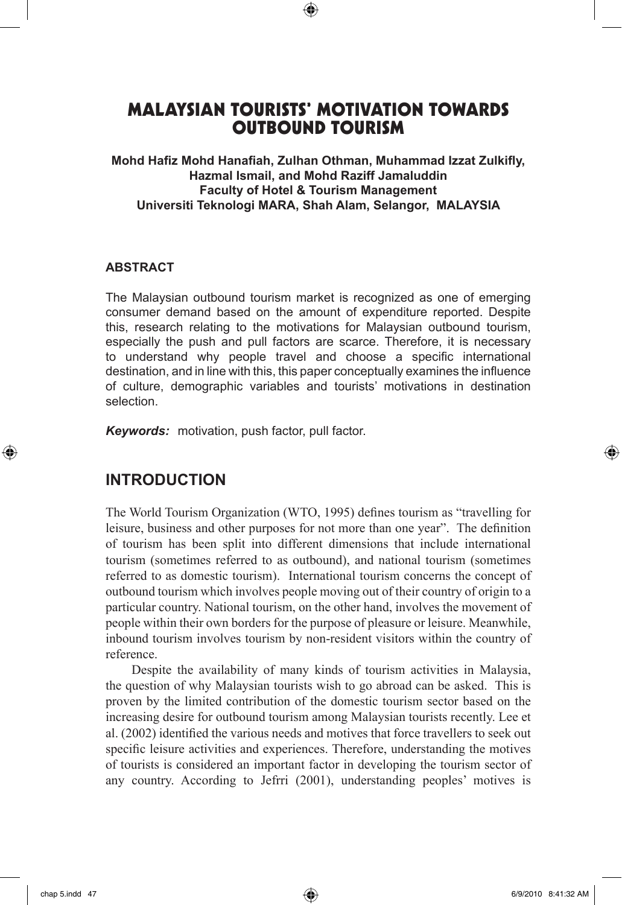# MALAYSIAN TOURISTS' MOTIVATION TOWARDS OUTBOUND TOURISM

⊕

**Mohd Hafiz Mohd Hanafiah, Zulhan Othman, Muhammad Izzat Zulkifly, Hazmal Ismail, and Mohd Raziff Jamaluddin Faculty of Hotel & Tourism Management Universiti Teknologi MARA, Shah Alam, Selangor, MALAYSIA**

#### **ABSTRACT**

The Malaysian outbound tourism market is recognized as one of emerging consumer demand based on the amount of expenditure reported. Despite this, research relating to the motivations for Malaysian outbound tourism, especially the push and pull factors are scarce. Therefore, it is necessary to understand why people travel and choose a specific international destination, and in line with this, this paper conceptually examines the influence of culture, demographic variables and tourists' motivations in destination selection.

*Keywords:* motivation, push factor, pull factor.

### **INTRODUCTION**

The World Tourism Organization (WTO, 1995) defines tourism as "travelling for leisure, business and other purposes for not more than one year". The definition of tourism has been split into different dimensions that include international tourism (sometimes referred to as outbound), and national tourism (sometimes referred to as domestic tourism). International tourism concerns the concept of outbound tourism which involves people moving out of their country of origin to a particular country. National tourism, on the other hand, involves the movement of people within their own borders for the purpose of pleasure or leisure. Meanwhile, inbound tourism involves tourism by non-resident visitors within the country of reference.

Despite the availability of many kinds of tourism activities in Malaysia, the question of why Malaysian tourists wish to go abroad can be asked. This is proven by the limited contribution of the domestic tourism sector based on the increasing desire for outbound tourism among Malaysian tourists recently. Lee et al. (2002) identified the various needs and motives that force travellers to seek out specific leisure activities and experiences. Therefore, understanding the motives of tourists is considered an important factor in developing the tourism sector of any country. According to Jefrri (2001), understanding peoples' motives is

⊕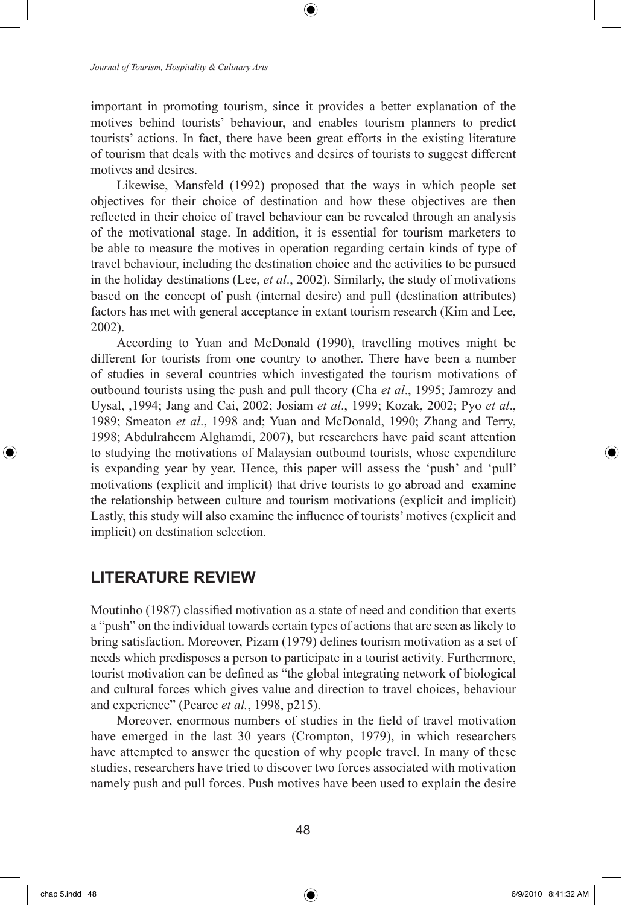*Journal of Tourism, Hospitality & Culinary Arts*

important in promoting tourism, since it provides a better explanation of the motives behind tourists' behaviour, and enables tourism planners to predict tourists' actions. In fact, there have been great efforts in the existing literature of tourism that deals with the motives and desires of tourists to suggest different motives and desires.

⊕

Likewise, Mansfeld (1992) proposed that the ways in which people set objectives for their choice of destination and how these objectives are then reflected in their choice of travel behaviour can be revealed through an analysis of the motivational stage. In addition, it is essential for tourism marketers to be able to measure the motives in operation regarding certain kinds of type of travel behaviour, including the destination choice and the activities to be pursued in the holiday destinations (Lee, *et al*., 2002). Similarly, the study of motivations based on the concept of push (internal desire) and pull (destination attributes) factors has met with general acceptance in extant tourism research (Kim and Lee, 2002).

According to Yuan and McDonald (1990), travelling motives might be different for tourists from one country to another. There have been a number of studies in several countries which investigated the tourism motivations of outbound tourists using the push and pull theory (Cha *et al*., 1995; Jamrozy and Uysal, ,1994; Jang and Cai, 2002; Josiam *et al*., 1999; Kozak, 2002; Pyo *et al*., 1989; Smeaton *et al*., 1998 and; Yuan and McDonald, 1990; Zhang and Terry, 1998; Abdulraheem Alghamdi, 2007), but researchers have paid scant attention to studying the motivations of Malaysian outbound tourists, whose expenditure is expanding year by year. Hence, this paper will assess the 'push' and 'pull' motivations (explicit and implicit) that drive tourists to go abroad and examine the relationship between culture and tourism motivations (explicit and implicit) Lastly, this study will also examine the influence of tourists' motives (explicit and implicit) on destination selection.

# **LITERATURE REVIEW**

Moutinho (1987) classified motivation as a state of need and condition that exerts a "push" on the individual towards certain types of actions that are seen as likely to bring satisfaction. Moreover, Pizam (1979) defines tourism motivation as a set of needs which predisposes a person to participate in a tourist activity. Furthermore, tourist motivation can be defined as "the global integrating network of biological and cultural forces which gives value and direction to travel choices, behaviour and experience" (Pearce *et al.*, 1998, p215).

Moreover, enormous numbers of studies in the field of travel motivation have emerged in the last 30 years (Crompton, 1979), in which researchers have attempted to answer the question of why people travel. In many of these studies, researchers have tried to discover two forces associated with motivation namely push and pull forces. Push motives have been used to explain the desire

⊕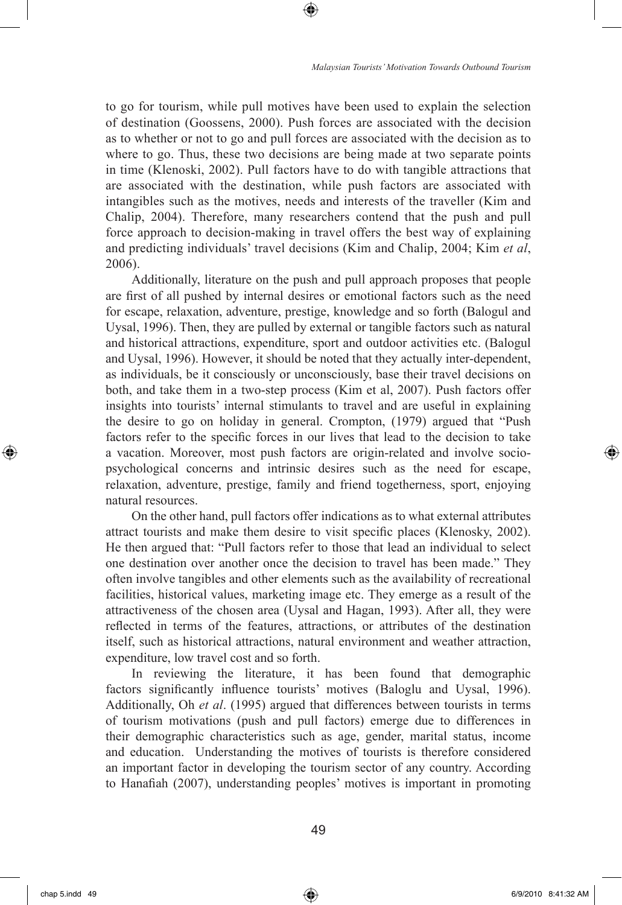to go for tourism, while pull motives have been used to explain the selection of destination (Goossens, 2000). Push forces are associated with the decision as to whether or not to go and pull forces are associated with the decision as to where to go. Thus, these two decisions are being made at two separate points in time (Klenoski, 2002). Pull factors have to do with tangible attractions that are associated with the destination, while push factors are associated with intangibles such as the motives, needs and interests of the traveller (Kim and Chalip, 2004). Therefore, many researchers contend that the push and pull force approach to decision-making in travel offers the best way of explaining and predicting individuals' travel decisions (Kim and Chalip, 2004; Kim *et al*, 2006).

⊕

Additionally, literature on the push and pull approach proposes that people are first of all pushed by internal desires or emotional factors such as the need for escape, relaxation, adventure, prestige, knowledge and so forth (Balogul and Uysal, 1996). Then, they are pulled by external or tangible factors such as natural and historical attractions, expenditure, sport and outdoor activities etc. (Balogul and Uysal, 1996). However, it should be noted that they actually inter-dependent, as individuals, be it consciously or unconsciously, base their travel decisions on both, and take them in a two-step process (Kim et al, 2007). Push factors offer insights into tourists' internal stimulants to travel and are useful in explaining the desire to go on holiday in general. Crompton, (1979) argued that "Push factors refer to the specific forces in our lives that lead to the decision to take a vacation. Moreover, most push factors are origin-related and involve sociopsychological concerns and intrinsic desires such as the need for escape, relaxation, adventure, prestige, family and friend togetherness, sport, enjoying natural resources.

On the other hand, pull factors offer indications as to what external attributes attract tourists and make them desire to visit specific places (Klenosky, 2002). He then argued that: "Pull factors refer to those that lead an individual to select one destination over another once the decision to travel has been made." They often involve tangibles and other elements such as the availability of recreational facilities, historical values, marketing image etc. They emerge as a result of the attractiveness of the chosen area (Uysal and Hagan, 1993). After all, they were reflected in terms of the features, attractions, or attributes of the destination itself, such as historical attractions, natural environment and weather attraction, expenditure, low travel cost and so forth.

In reviewing the literature, it has been found that demographic factors significantly influence tourists' motives (Baloglu and Uysal, 1996). Additionally, Oh *et al*. (1995) argued that differences between tourists in terms of tourism motivations (push and pull factors) emerge due to differences in their demographic characteristics such as age, gender, marital status, income and education. Understanding the motives of tourists is therefore considered an important factor in developing the tourism sector of any country. According to Hanafiah (2007), understanding peoples' motives is important in promoting

↔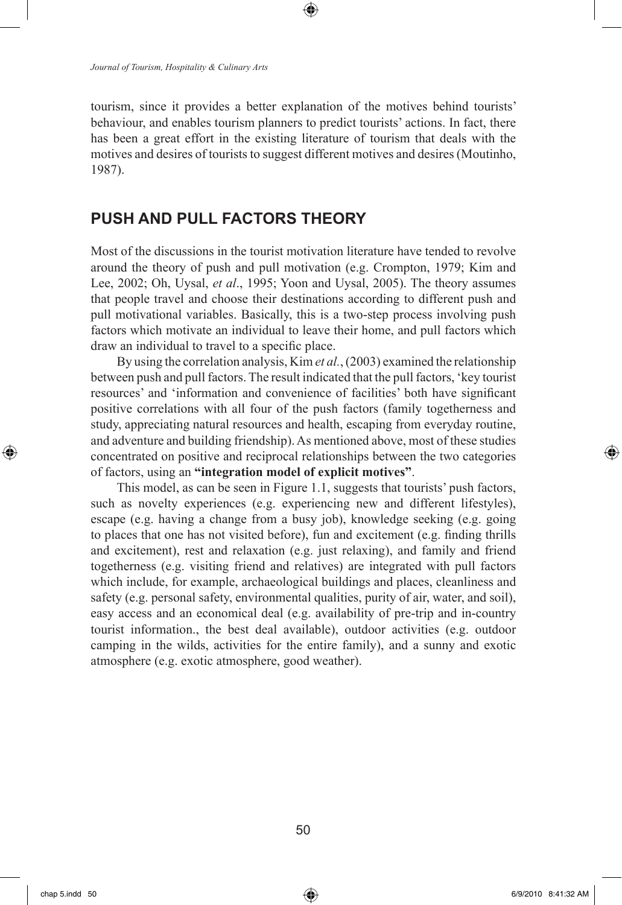*Journal of Tourism, Hospitality & Culinary Arts*

tourism, since it provides a better explanation of the motives behind tourists' behaviour, and enables tourism planners to predict tourists' actions. In fact, there has been a great effort in the existing literature of tourism that deals with the motives and desires of tourists to suggest different motives and desires (Moutinho, 1987).

⊕

## **PUSH AND PULL FACTORS THEORY**

Most of the discussions in the tourist motivation literature have tended to revolve around the theory of push and pull motivation (e.g. Crompton, 1979; Kim and Lee, 2002; Oh, Uysal, *et al*., 1995; Yoon and Uysal, 2005). The theory assumes that people travel and choose their destinations according to different push and pull motivational variables. Basically, this is a two-step process involving push factors which motivate an individual to leave their home, and pull factors which draw an individual to travel to a specific place.

By using the correlation analysis, Kim *et al.*, (2003) examined the relationship between push and pull factors. The result indicated that the pull factors, 'key tourist resources' and 'information and convenience of facilities' both have significant positive correlations with all four of the push factors (family togetherness and study, appreciating natural resources and health, escaping from everyday routine, and adventure and building friendship). As mentioned above, most of these studies concentrated on positive and reciprocal relationships between the two categories of factors, using an **"integration model of explicit motives"**.

This model, as can be seen in Figure 1.1, suggests that tourists' push factors, such as novelty experiences (e.g. experiencing new and different lifestyles), escape (e.g. having a change from a busy job), knowledge seeking (e.g. going to places that one has not visited before), fun and excitement (e.g. finding thrills and excitement), rest and relaxation (e.g. just relaxing), and family and friend togetherness (e.g. visiting friend and relatives) are integrated with pull factors which include, for example, archaeological buildings and places, cleanliness and safety (e.g. personal safety, environmental qualities, purity of air, water, and soil), easy access and an economical deal (e.g. availability of pre-trip and in-country tourist information., the best deal available), outdoor activities (e.g. outdoor camping in the wilds, activities for the entire family), and a sunny and exotic atmosphere (e.g. exotic atmosphere, good weather).

⊕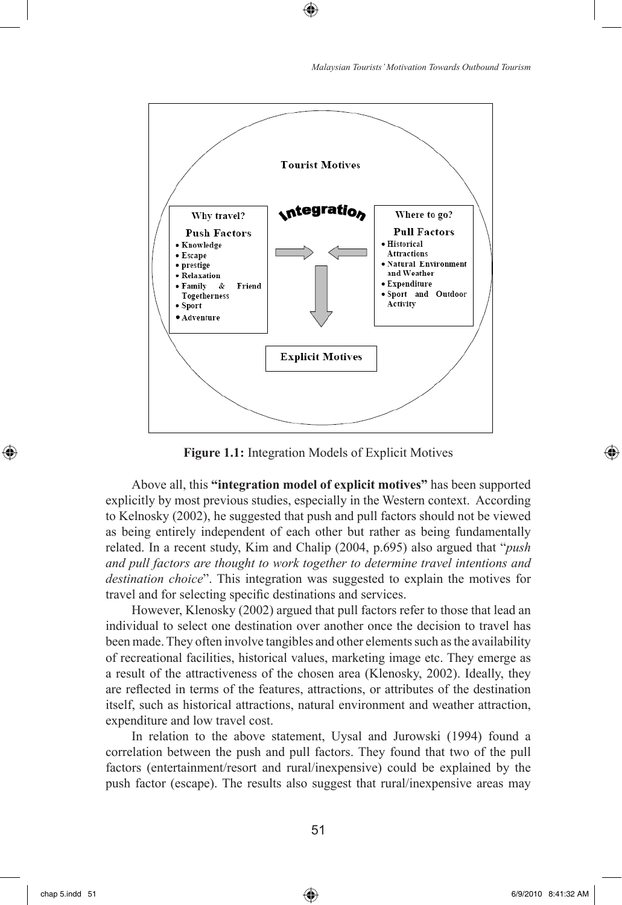



⊕

**Figure 1.1:** Integration Models of Explicit Motives

Above all, this **"integration model of explicit motives"** has been supported explicitly by most previous studies, especially in the Western context. According to Kelnosky (2002), he suggested that push and pull factors should not be viewed as being entirely independent of each other but rather as being fundamentally related. In a recent study, Kim and Chalip (2004, p.695) also argued that "*push and pull factors are thought to work together to determine travel intentions and destination choice*". This integration was suggested to explain the motives for travel and for selecting specific destinations and services.

However, Klenosky (2002) argued that pull factors refer to those that lead an individual to select one destination over another once the decision to travel has been made. They often involve tangibles and other elements such as the availability of recreational facilities, historical values, marketing image etc. They emerge as a result of the attractiveness of the chosen area (Klenosky, 2002). Ideally, they are reflected in terms of the features, attractions, or attributes of the destination itself, such as historical attractions, natural environment and weather attraction, expenditure and low travel cost.

In relation to the above statement, Uysal and Jurowski (1994) found a correlation between the push and pull factors. They found that two of the pull factors (entertainment/resort and rural/inexpensive) could be explained by the push factor (escape). The results also suggest that rural/inexpensive areas may

⊕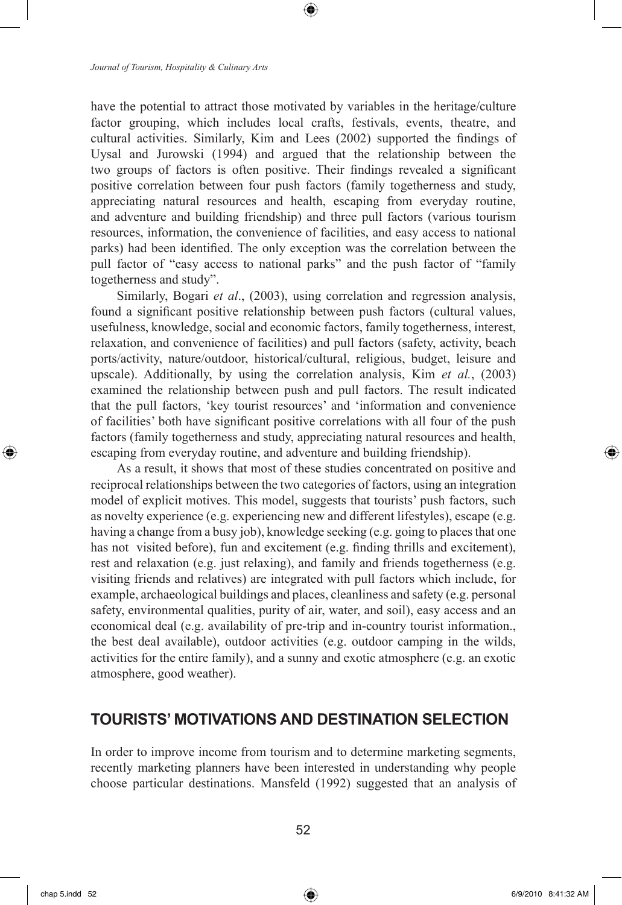have the potential to attract those motivated by variables in the heritage/culture factor grouping, which includes local crafts, festivals, events, theatre, and cultural activities. Similarly, Kim and Lees (2002) supported the findings of Uysal and Jurowski (1994) and argued that the relationship between the two groups of factors is often positive. Their findings revealed a significant positive correlation between four push factors (family togetherness and study, appreciating natural resources and health, escaping from everyday routine, and adventure and building friendship) and three pull factors (various tourism resources, information, the convenience of facilities, and easy access to national parks) had been identified. The only exception was the correlation between the pull factor of "easy access to national parks" and the push factor of "family togetherness and study".

Similarly, Bogari *et al*., (2003), using correlation and regression analysis, found a significant positive relationship between push factors (cultural values, usefulness, knowledge, social and economic factors, family togetherness, interest, relaxation, and convenience of facilities) and pull factors (safety, activity, beach ports/activity, nature/outdoor, historical/cultural, religious, budget, leisure and upscale). Additionally, by using the correlation analysis, Kim *et al.*, (2003) examined the relationship between push and pull factors. The result indicated that the pull factors, 'key tourist resources' and 'information and convenience of facilities' both have significant positive correlations with all four of the push factors (family togetherness and study, appreciating natural resources and health, escaping from everyday routine, and adventure and building friendship).

As a result, it shows that most of these studies concentrated on positive and reciprocal relationships between the two categories of factors, using an integration model of explicit motives. This model, suggests that tourists' push factors, such as novelty experience (e.g. experiencing new and different lifestyles), escape (e.g. having a change from a busy job), knowledge seeking (e.g. going to places that one has not visited before), fun and excitement (e.g. finding thrills and excitement), rest and relaxation (e.g. just relaxing), and family and friends togetherness (e.g. visiting friends and relatives) are integrated with pull factors which include, for example, archaeological buildings and places, cleanliness and safety (e.g. personal safety, environmental qualities, purity of air, water, and soil), easy access and an economical deal (e.g. availability of pre-trip and in-country tourist information., the best deal available), outdoor activities (e.g. outdoor camping in the wilds, activities for the entire family), and a sunny and exotic atmosphere (e.g. an exotic atmosphere, good weather).

### **TOURISTS' MOTIVATIONS AND DESTINATION SELECTION**

In order to improve income from tourism and to determine marketing segments, recently marketing planners have been interested in understanding why people choose particular destinations. Mansfeld (1992) suggested that an analysis of

⊕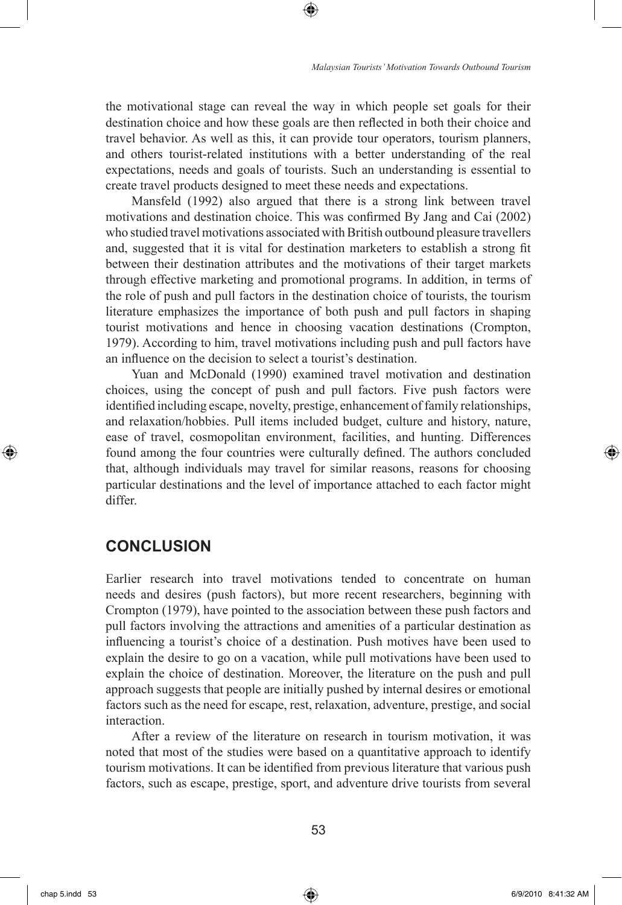the motivational stage can reveal the way in which people set goals for their destination choice and how these goals are then reflected in both their choice and travel behavior. As well as this, it can provide tour operators, tourism planners, and others tourist-related institutions with a better understanding of the real expectations, needs and goals of tourists. Such an understanding is essential to create travel products designed to meet these needs and expectations.

⊕

Mansfeld (1992) also argued that there is a strong link between travel motivations and destination choice. This was confirmed By Jang and Cai (2002) who studied travel motivations associated with British outbound pleasure travellers and, suggested that it is vital for destination marketers to establish a strong fit between their destination attributes and the motivations of their target markets through effective marketing and promotional programs. In addition, in terms of the role of push and pull factors in the destination choice of tourists, the tourism literature emphasizes the importance of both push and pull factors in shaping tourist motivations and hence in choosing vacation destinations (Crompton, 1979). According to him, travel motivations including push and pull factors have an influence on the decision to select a tourist's destination.

Yuan and McDonald (1990) examined travel motivation and destination choices, using the concept of push and pull factors. Five push factors were identified including escape, novelty, prestige, enhancement of family relationships, and relaxation/hobbies. Pull items included budget, culture and history, nature, ease of travel, cosmopolitan environment, facilities, and hunting. Differences found among the four countries were culturally defined. The authors concluded that, although individuals may travel for similar reasons, reasons for choosing particular destinations and the level of importance attached to each factor might differ.

# **CONCLUSION**

Earlier research into travel motivations tended to concentrate on human needs and desires (push factors), but more recent researchers, beginning with Crompton (1979), have pointed to the association between these push factors and pull factors involving the attractions and amenities of a particular destination as influencing a tourist's choice of a destination. Push motives have been used to explain the desire to go on a vacation, while pull motivations have been used to explain the choice of destination. Moreover, the literature on the push and pull approach suggests that people are initially pushed by internal desires or emotional factors such as the need for escape, rest, relaxation, adventure, prestige, and social interaction.

After a review of the literature on research in tourism motivation, it was noted that most of the studies were based on a quantitative approach to identify tourism motivations. It can be identified from previous literature that various push factors, such as escape, prestige, sport, and adventure drive tourists from several

⊕

chap 5.indd 53 6/9/2010 8:41:32 AM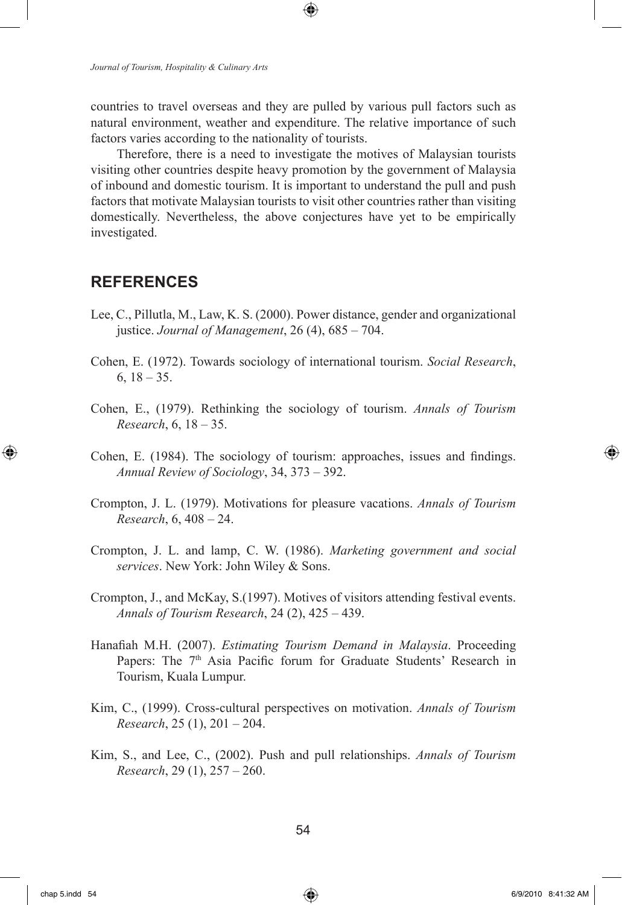countries to travel overseas and they are pulled by various pull factors such as natural environment, weather and expenditure. The relative importance of such factors varies according to the nationality of tourists.

⊕

Therefore, there is a need to investigate the motives of Malaysian tourists visiting other countries despite heavy promotion by the government of Malaysia of inbound and domestic tourism. It is important to understand the pull and push factors that motivate Malaysian tourists to visit other countries rather than visiting domestically. Nevertheless, the above conjectures have yet to be empirically investigated.

## **REFERENCES**

- Lee, C., Pillutla, M., Law, K. S. (2000). Power distance, gender and organizational justice. *Journal of Management*, 26 (4), 685 – 704.
- Cohen, E. (1972). Towards sociology of international tourism. *Social Research*,  $6, 18 - 35.$
- Cohen, E., (1979). Rethinking the sociology of tourism. *Annals of Tourism Research*, 6, 18 – 35.
- Cohen, E. (1984). The sociology of tourism: approaches, issues and findings. *Annual Review of Sociology*, 34, 373 – 392.
- Crompton, J. L. (1979). Motivations for pleasure vacations. *Annals of Tourism Research*, 6, 408 – 24.
- Crompton, J. L. and lamp, C. W. (1986). *Marketing government and social services*. New York: John Wiley & Sons.
- Crompton, J., and McKay, S.(1997). Motives of visitors attending festival events. *Annals of Tourism Research*, 24 (2), 425 – 439.
- Hanafiah M.H. (2007). *Estimating Tourism Demand in Malaysia*. Proceeding Papers: The 7<sup>th</sup> Asia Pacific forum for Graduate Students' Research in Tourism, Kuala Lumpur.
- Kim, C., (1999). Cross-cultural perspectives on motivation. *Annals of Tourism Research*, 25 (1), 201 – 204.
- Kim, S., and Lee, C., (2002). Push and pull relationships. *Annals of Tourism Research*, 29 (1), 257 – 260.

⊕

↔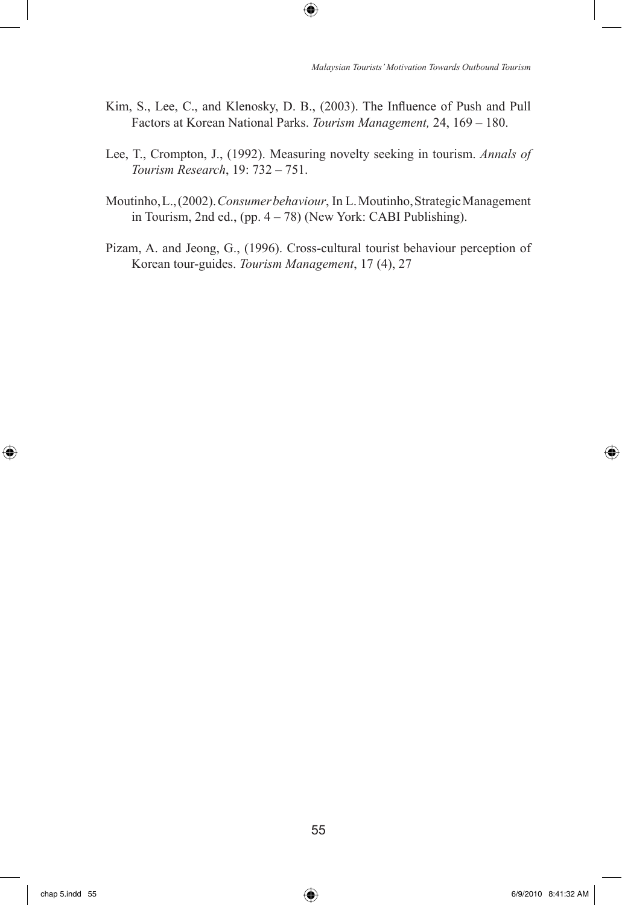Kim, S., Lee, C., and Klenosky, D. B., (2003). The Influence of Push and Pull Factors at Korean National Parks. *Tourism Management,* 24, 169 – 180.

 $\bigoplus$ 

- Lee, T., Crompton, J., (1992). Measuring novelty seeking in tourism. *Annals of Tourism Research*, 19: 732 – 751.
- Moutinho, L., (2002). *Consumer behaviour*, In L. Moutinho, Strategic Management in Tourism, 2nd ed., (pp. 4 – 78) (New York: CABI Publishing).
- Pizam, A. and Jeong, G., (1996). Cross-cultural tourist behaviour perception of Korean tour-guides. *Tourism Management*, 17 (4), 27

⊕